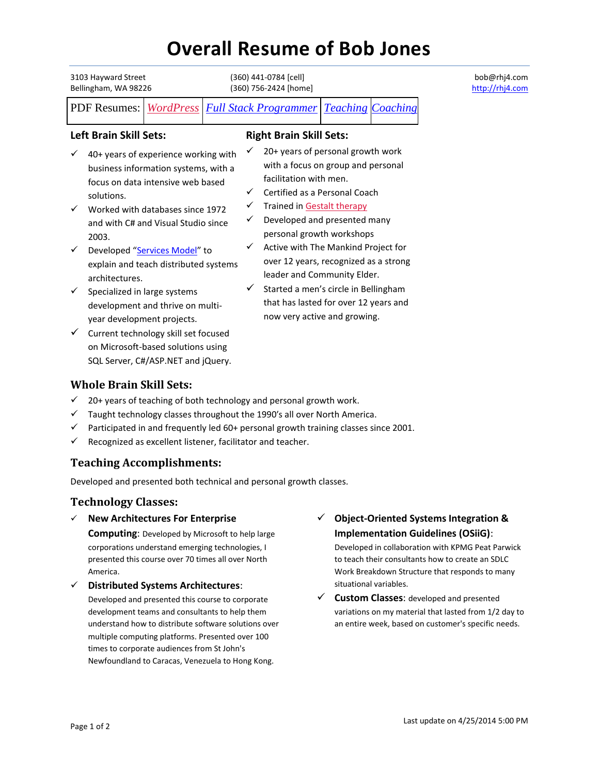# **Overall Resume of Bob Jones**

| 3103 Hayward Street<br>Bellingham, WA 98226          |                                                                                                                                                                                                                                                                                                                                                                                                                  |  | (360) 441-0784 [cell]<br>(360) 756-2424 [home] |                                                                                                                                                                                                                                                                                                                                                                                                                                                               |  |                          |
|------------------------------------------------------|------------------------------------------------------------------------------------------------------------------------------------------------------------------------------------------------------------------------------------------------------------------------------------------------------------------------------------------------------------------------------------------------------------------|--|------------------------------------------------|---------------------------------------------------------------------------------------------------------------------------------------------------------------------------------------------------------------------------------------------------------------------------------------------------------------------------------------------------------------------------------------------------------------------------------------------------------------|--|--------------------------|
| <b>PDF</b> Resumes:                                  | WordPress                                                                                                                                                                                                                                                                                                                                                                                                        |  |                                                | <b>Full Stack Programmer</b>                                                                                                                                                                                                                                                                                                                                                                                                                                  |  | <b>Teaching Coaching</b> |
| <b>Left Brain Skill Sets:</b>                        |                                                                                                                                                                                                                                                                                                                                                                                                                  |  |                                                | <b>Right Brain Skill Sets:</b>                                                                                                                                                                                                                                                                                                                                                                                                                                |  |                          |
| ✓<br>solutions.<br>2003.<br>✓<br>architectures.<br>✓ | 40+ years of experience working with<br>business information systems, with a<br>focus on data intensive web based<br>Worked with databases since 1972<br>and with C# and Visual Studio since<br>Developed "Services Model" to<br>explain and teach distributed systems<br>Specialized in large systems<br>development and thrive on multi-<br>year development projects.<br>Current technology skill set focused |  | ✓<br>✓<br>✓<br>✓                               | 20+ years of personal growth work<br>with a focus on group and personal<br>facilitation with men.<br>Certified as a Personal Coach<br>Trained in Gestalt therapy<br>Developed and presented many<br>personal growth workshops<br>Active with The Mankind Project for<br>over 12 years, recognized as a strong<br>leader and Community Elder.<br>Started a men's circle in Bellingham<br>that has lasted for over 12 years and<br>now very active and growing. |  |                          |
|                                                      | on Microsoft-based solutions using<br>SQL Server, C#/ASP.NET and jQuery.                                                                                                                                                                                                                                                                                                                                         |  |                                                |                                                                                                                                                                                                                                                                                                                                                                                                                                                               |  |                          |

# **Whole Brain Skill Sets:**

- $\checkmark$  20+ years of teaching of both technology and personal growth work.
- $\checkmark$  Taught technology classes throughout the 1990's all over North America.
- $\checkmark$  Participated in and frequently led 60+ personal growth training classes since 2001.
- $\checkmark$  Recognized as excellent listener, facilitator and teacher.

# **Teaching Accomplishments:**

Developed and presented both technical and personal growth classes.

# **Technology Classes:**

**New Architectures For Enterprise** 

**Computing**: Developed by Microsoft to help large corporations understand emerging technologies, I presented this course over 70 times all over North America.

## **Distributed Systems Architectures**:

Developed and presented this course to corporate development teams and consultants to help them understand how to distribute software solutions over multiple computing platforms. Presented over 100 times to corporate audiences from St John's Newfoundland to Caracas, Venezuela to Hong Kong.

# **Object-Oriented Systems Integration & Implementation Guidelines (OSiiG)**:

Developed in collaboration with KPMG Peat Parwick to teach their consultants how to create an SDLC Work Breakdown Structure that responds to many situational variables.

 **Custom Classes**: developed and presented variations on my material that lasted from 1/2 day to an entire week, based on customer's specific needs.

bob@rhj4.com http://rhj4.com